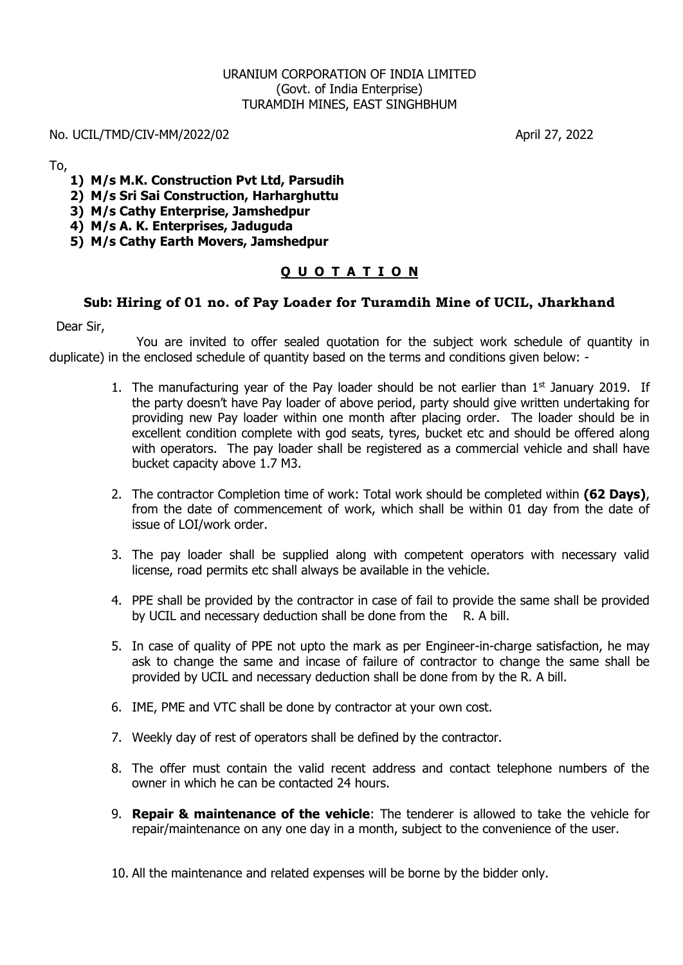### URANIUM CORPORATION OF INDIA LIMITED (Govt. of India Enterprise) TURAMDIH MINES, EAST SINGHBHUM

#### No. UCIL/TMD/CIV-MM/2022/02 April 27, 2022

To,

- **1) M/s M.K. Construction Pvt Ltd, Parsudih**
- **2) M/s Sri Sai Construction, Harharghuttu**

**3) M/s Cathy Enterprise, Jamshedpur**

- **4) M/s A. K. Enterprises, Jaduguda**
- **5) M/s Cathy Earth Movers, Jamshedpur**

## **Q U O T A T I O N**

### **Sub: Hiring of 01 no. of Pay Loader for Turamdih Mine of UCIL, Jharkhand**

Dear Sir,

You are invited to offer sealed quotation for the subject work schedule of quantity in duplicate) in the enclosed schedule of quantity based on the terms and conditions given below: -

- 1. The manufacturing year of the Pay loader should be not earlier than  $1<sup>st</sup>$  January 2019. If the party doesn't have Pay loader of above period, party should give written undertaking for providing new Pay loader within one month after placing order. The loader should be in excellent condition complete with god seats, tyres, bucket etc and should be offered along with operators. The pay loader shall be registered as a commercial vehicle and shall have bucket capacity above 1.7 M3.
- 2. The contractor Completion time of work: Total work should be completed within **(62 Days)**, from the date of commencement of work, which shall be within 01 day from the date of issue of LOI/work order.
- 3. The pay loader shall be supplied along with competent operators with necessary valid license, road permits etc shall always be available in the vehicle.
- 4. PPE shall be provided by the contractor in case of fail to provide the same shall be provided by UCIL and necessary deduction shall be done from the R. A bill.
- 5. In case of quality of PPE not upto the mark as per Engineer-in-charge satisfaction, he may ask to change the same and incase of failure of contractor to change the same shall be provided by UCIL and necessary deduction shall be done from by the R. A bill.
- 6. IME, PME and VTC shall be done by contractor at your own cost.
- 7. Weekly day of rest of operators shall be defined by the contractor.
- 8. The offer must contain the valid recent address and contact telephone numbers of the owner in which he can be contacted 24 hours.
- 9. **Repair & maintenance of the vehicle**: The tenderer is allowed to take the vehicle for repair/maintenance on any one day in a month, subject to the convenience of the user.

10. All the maintenance and related expenses will be borne by the bidder only.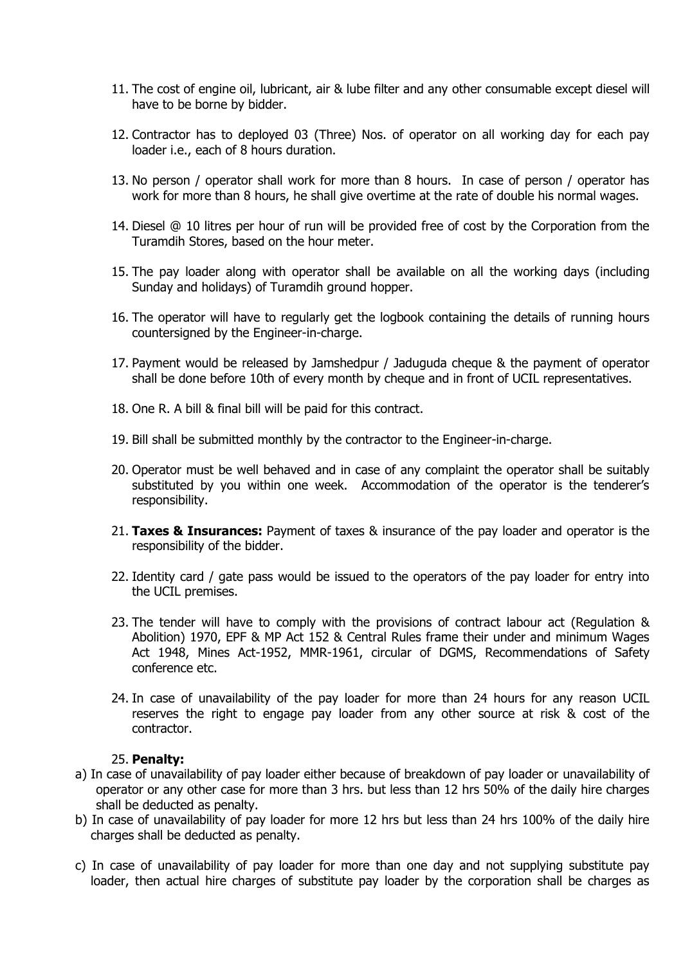- 11. The cost of engine oil, lubricant, air & lube filter and any other consumable except diesel will have to be borne by bidder.
- 12. Contractor has to deployed 03 (Three) Nos. of operator on all working day for each pay loader i.e., each of 8 hours duration.
- 13. No person / operator shall work for more than 8 hours. In case of person / operator has work for more than 8 hours, he shall give overtime at the rate of double his normal wages.
- 14. Diesel @ 10 litres per hour of run will be provided free of cost by the Corporation from the Turamdih Stores, based on the hour meter.
- 15. The pay loader along with operator shall be available on all the working days (including Sunday and holidays) of Turamdih ground hopper.
- 16. The operator will have to regularly get the logbook containing the details of running hours countersigned by the Engineer-in-charge.
- 17. Payment would be released by Jamshedpur / Jaduguda cheque & the payment of operator shall be done before 10th of every month by cheque and in front of UCIL representatives.
- 18. One R. A bill & final bill will be paid for this contract.
- 19. Bill shall be submitted monthly by the contractor to the Engineer-in-charge.
- 20. Operator must be well behaved and in case of any complaint the operator shall be suitably substituted by you within one week. Accommodation of the operator is the tenderer's responsibility.
- 21. **Taxes & Insurances:** Payment of taxes & insurance of the pay loader and operator is the responsibility of the bidder.
- 22. Identity card / gate pass would be issued to the operators of the pay loader for entry into the UCIL premises.
- 23. The tender will have to comply with the provisions of contract labour act (Regulation & Abolition) 1970, EPF & MP Act 152 & Central Rules frame their under and minimum Wages Act 1948, Mines Act-1952, MMR-1961, circular of DGMS, Recommendations of Safety conference etc.
- 24. In case of unavailability of the pay loader for more than 24 hours for any reason UCIL reserves the right to engage pay loader from any other source at risk & cost of the contractor.

#### 25. **Penalty:**

- a) In case of unavailability of pay loader either because of breakdown of pay loader or unavailability of operator or any other case for more than 3 hrs. but less than 12 hrs 50% of the daily hire charges shall be deducted as penalty.
- b) In case of unavailability of pay loader for more 12 hrs but less than 24 hrs 100% of the daily hire charges shall be deducted as penalty.
- c) In case of unavailability of pay loader for more than one day and not supplying substitute pay loader, then actual hire charges of substitute pay loader by the corporation shall be charges as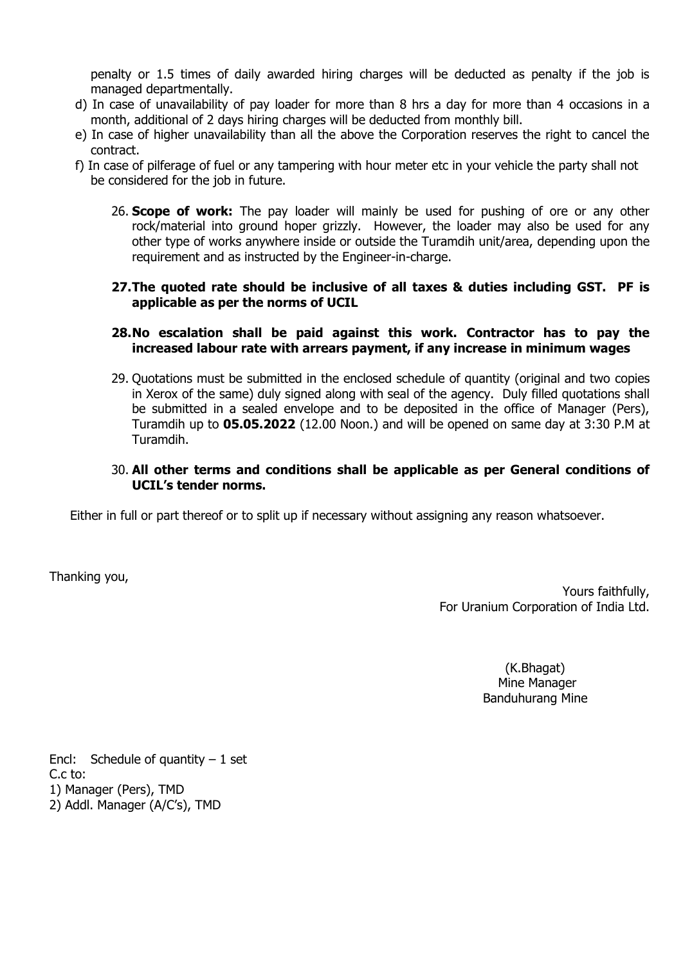penalty or 1.5 times of daily awarded hiring charges will be deducted as penalty if the job is managed departmentally.

- d) In case of unavailability of pay loader for more than 8 hrs a day for more than 4 occasions in a month, additional of 2 days hiring charges will be deducted from monthly bill.
- e) In case of higher unavailability than all the above the Corporation reserves the right to cancel the contract.
- f) In case of pilferage of fuel or any tampering with hour meter etc in your vehicle the party shall not be considered for the job in future.
	- 26. **Scope of work:** The pay loader will mainly be used for pushing of ore or any other rock/material into ground hoper grizzly. However, the loader may also be used for any other type of works anywhere inside or outside the Turamdih unit/area, depending upon the requirement and as instructed by the Engineer-in-charge.

#### **27.The quoted rate should be inclusive of all taxes & duties including GST. PF is applicable as per the norms of UCIL**

#### **28.No escalation shall be paid against this work. Contractor has to pay the increased labour rate with arrears payment, if any increase in minimum wages**

29. Quotations must be submitted in the enclosed schedule of quantity (original and two copies in Xerox of the same) duly signed along with seal of the agency. Duly filled quotations shall be submitted in a sealed envelope and to be deposited in the office of Manager (Pers), Turamdih up to **05.05.2022** (12.00 Noon.) and will be opened on same day at 3:30 P.M at Turamdih.

## 30. **All other terms and conditions shall be applicable as per General conditions of UCIL's tender norms.**

Either in full or part thereof or to split up if necessary without assigning any reason whatsoever.

Thanking you,

Yours faithfully, For Uranium Corporation of India Ltd.

> (K.Bhagat) Mine Manager Banduhurang Mine

Encl: Schedule of quantity  $-1$  set C.c to: 1) Manager (Pers), TMD 2) Addl. Manager (A/C's), TMD